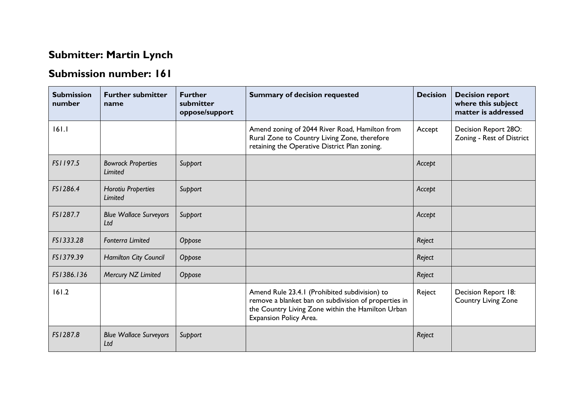## **Submitter: Martin Lynch**

## **Submission number: 161**

| <b>Submission</b><br>number | <b>Further submitter</b><br>name     | <b>Further</b><br>submitter<br>oppose/support | <b>Summary of decision requested</b>                                                                                                                                                 | <b>Decision</b> | <b>Decision report</b><br>where this subject<br>matter is addressed |
|-----------------------------|--------------------------------------|-----------------------------------------------|--------------------------------------------------------------------------------------------------------------------------------------------------------------------------------------|-----------------|---------------------------------------------------------------------|
| 161.1                       |                                      |                                               | Amend zoning of 2044 River Road, Hamilton from<br>Rural Zone to Country Living Zone, therefore<br>retaining the Operative District Plan zoning.                                      | Accept          | Decision Report 28O:<br>Zoning - Rest of District                   |
| FS1197.5                    | <b>Bowrock Properties</b><br>Limited | Support                                       |                                                                                                                                                                                      | Accept          |                                                                     |
| FS1286.4                    | <b>Horotiu Properties</b><br>Limited | Support                                       |                                                                                                                                                                                      | Accept          |                                                                     |
| FS1287.7                    | <b>Blue Wallace Surveyors</b><br>Ltd | Support                                       |                                                                                                                                                                                      | Accept          |                                                                     |
| FS1333.28                   | <b>Fonterra Limited</b>              | Oppose                                        |                                                                                                                                                                                      | Reject          |                                                                     |
| FS1379.39                   | Hamilton City Council                | Oppose                                        |                                                                                                                                                                                      | Reject          |                                                                     |
| FS1386.136                  | Mercury NZ Limited                   | Oppose                                        |                                                                                                                                                                                      | Reject          |                                                                     |
| 161.2                       |                                      |                                               | Amend Rule 23.4.1 (Prohibited subdivision) to<br>remove a blanket ban on subdivision of properties in<br>the Country Living Zone within the Hamilton Urban<br>Expansion Policy Area. | Reject          | Decision Report 18:<br><b>Country Living Zone</b>                   |
| FS1287.8                    | <b>Blue Wallace Surveyors</b><br>Ltd | Support                                       |                                                                                                                                                                                      | Reject          |                                                                     |